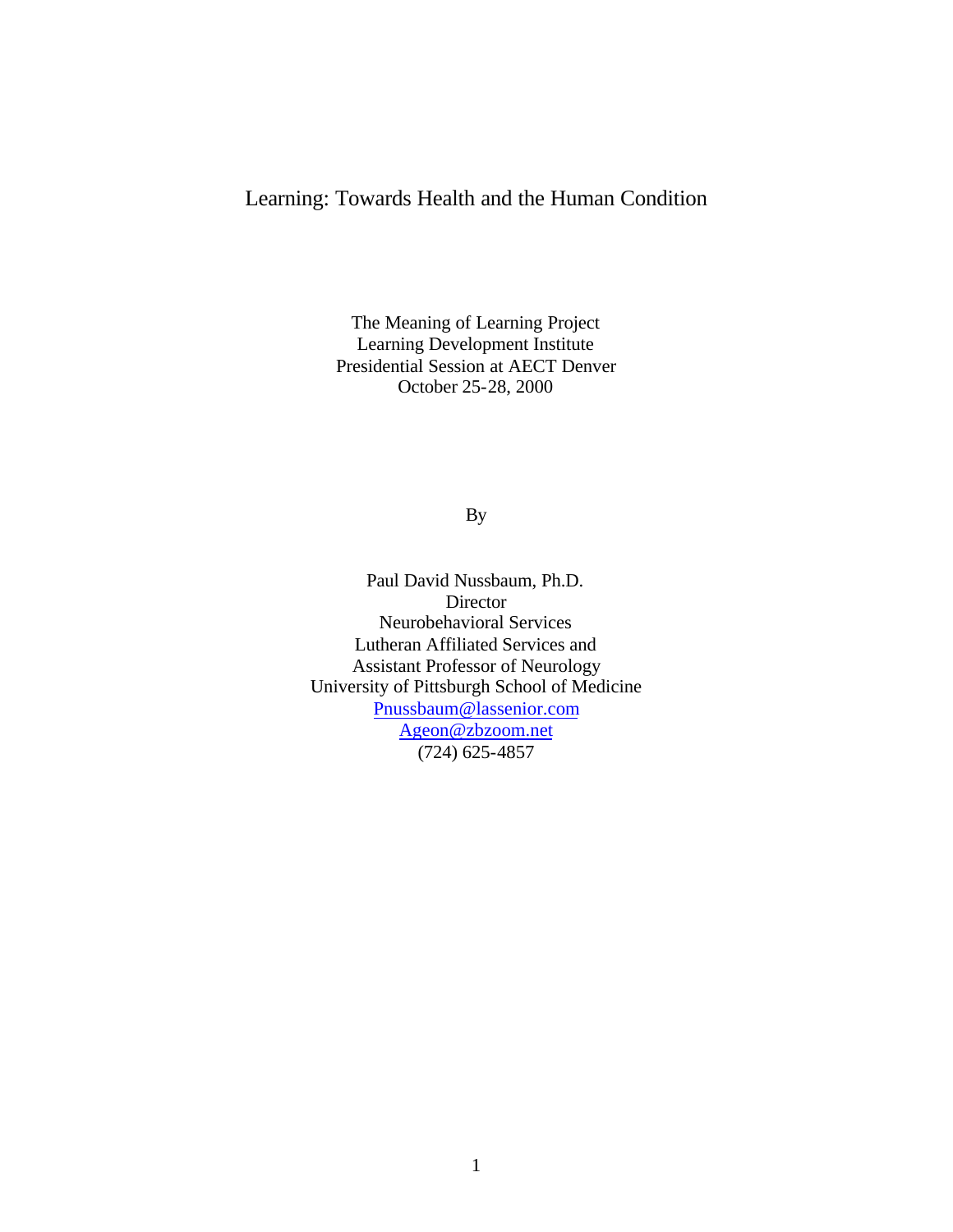## Learning: Towards Health and the Human Condition

The Meaning of Learning Project Learning Development Institute Presidential Session at AECT Denver October 25-28, 2000

By

Paul David Nussbaum, Ph.D. **Director** Neurobehavioral Services Lutheran Affiliated Services and Assistant Professor of Neurology University of Pittsburgh School of Medicine Pnussbaum@lassenior.com Ageon@zbzoom.net (724) 625-4857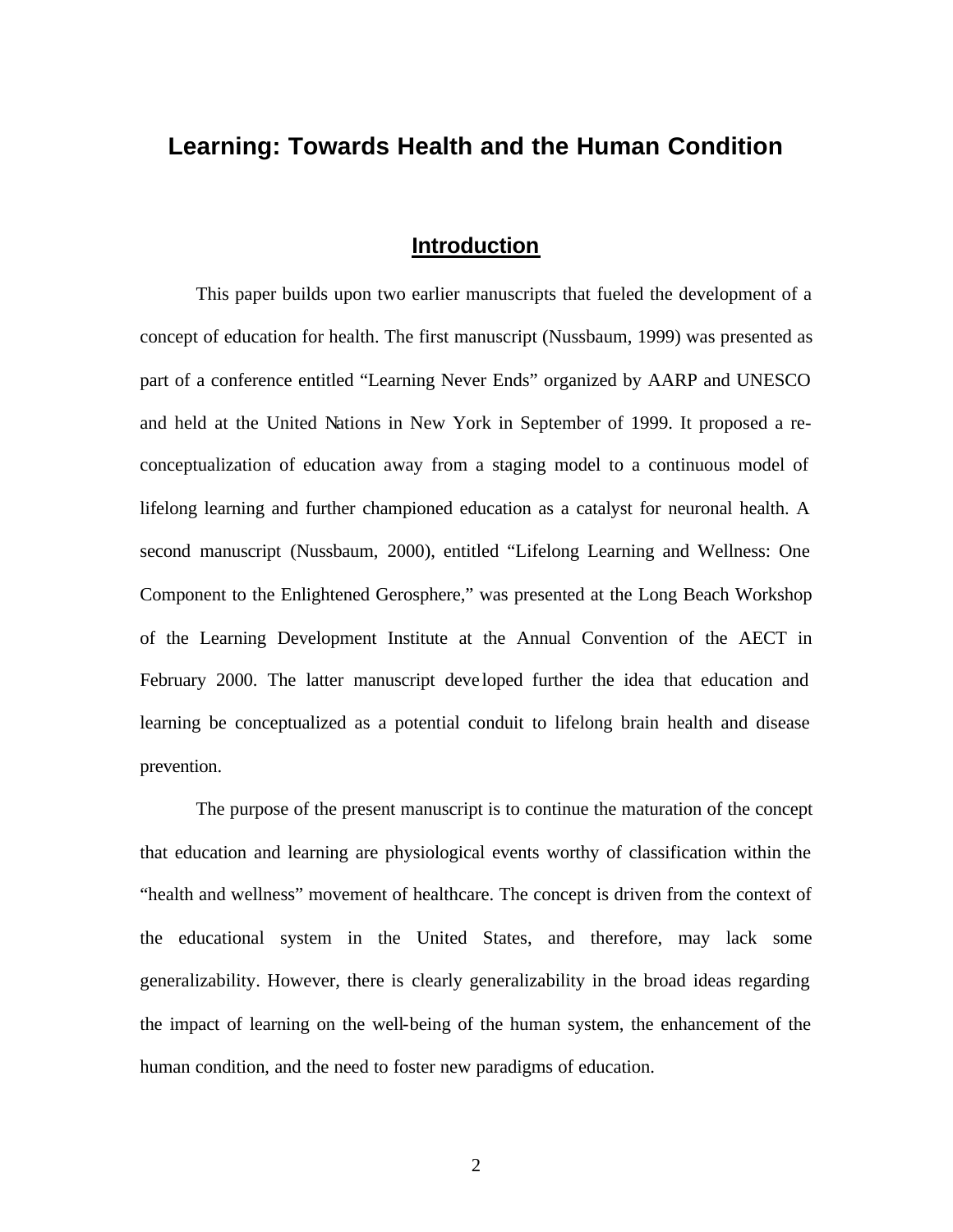# **Learning: Towards Health and the Human Condition**

# **Introduction**

This paper builds upon two earlier manuscripts that fueled the development of a concept of education for health. The first manuscript (Nussbaum, 1999) was presented as part of a conference entitled "Learning Never Ends" organized by AARP and UNESCO and held at the United Nations in New York in September of 1999. It proposed a reconceptualization of education away from a staging model to a continuous model of lifelong learning and further championed education as a catalyst for neuronal health. A second manuscript (Nussbaum, 2000), entitled "Lifelong Learning and Wellness: One Component to the Enlightened Gerosphere," was presented at the Long Beach Workshop of the Learning Development Institute at the Annual Convention of the AECT in February 2000. The latter manuscript deve loped further the idea that education and learning be conceptualized as a potential conduit to lifelong brain health and disease prevention.

The purpose of the present manuscript is to continue the maturation of the concept that education and learning are physiological events worthy of classification within the "health and wellness" movement of healthcare. The concept is driven from the context of the educational system in the United States, and therefore, may lack some generalizability. However, there is clearly generalizability in the broad ideas regarding the impact of learning on the well-being of the human system, the enhancement of the human condition, and the need to foster new paradigms of education.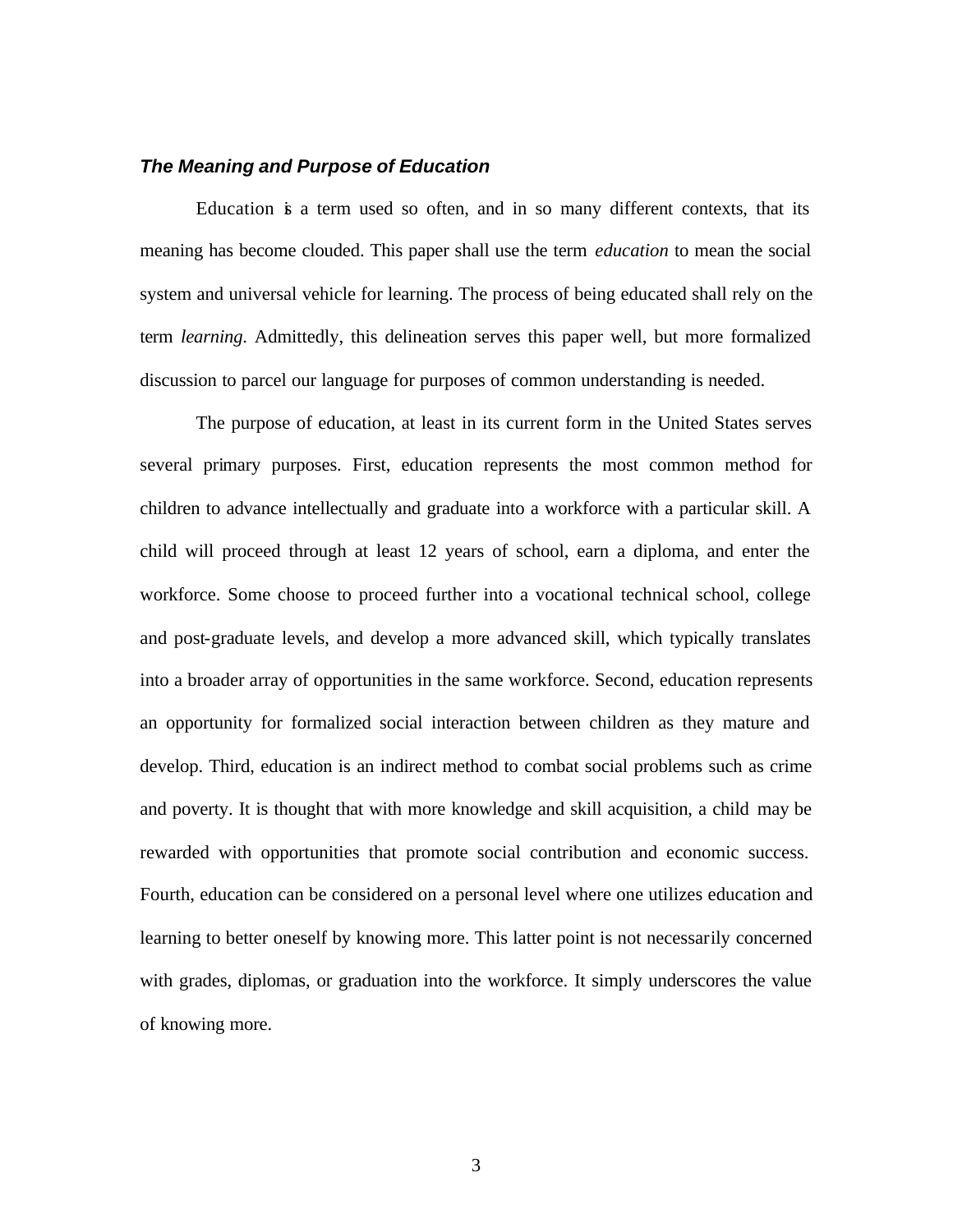#### *The Meaning and Purpose of Education*

Education is a term used so often, and in so many different contexts, that its meaning has become clouded. This paper shall use the term *education* to mean the social system and universal vehicle for learning. The process of being educated shall rely on the term *learning*. Admittedly, this delineation serves this paper well, but more formalized discussion to parcel our language for purposes of common understanding is needed.

The purpose of education, at least in its current form in the United States serves several primary purposes. First, education represents the most common method for children to advance intellectually and graduate into a workforce with a particular skill. A child will proceed through at least 12 years of school, earn a diploma, and enter the workforce. Some choose to proceed further into a vocational technical school, college and post-graduate levels, and develop a more advanced skill, which typically translates into a broader array of opportunities in the same workforce. Second, education represents an opportunity for formalized social interaction between children as they mature and develop. Third, education is an indirect method to combat social problems such as crime and poverty. It is thought that with more knowledge and skill acquisition, a child may be rewarded with opportunities that promote social contribution and economic success. Fourth, education can be considered on a personal level where one utilizes education and learning to better oneself by knowing more. This latter point is not necessarily concerned with grades, diplomas, or graduation into the workforce. It simply underscores the value of knowing more.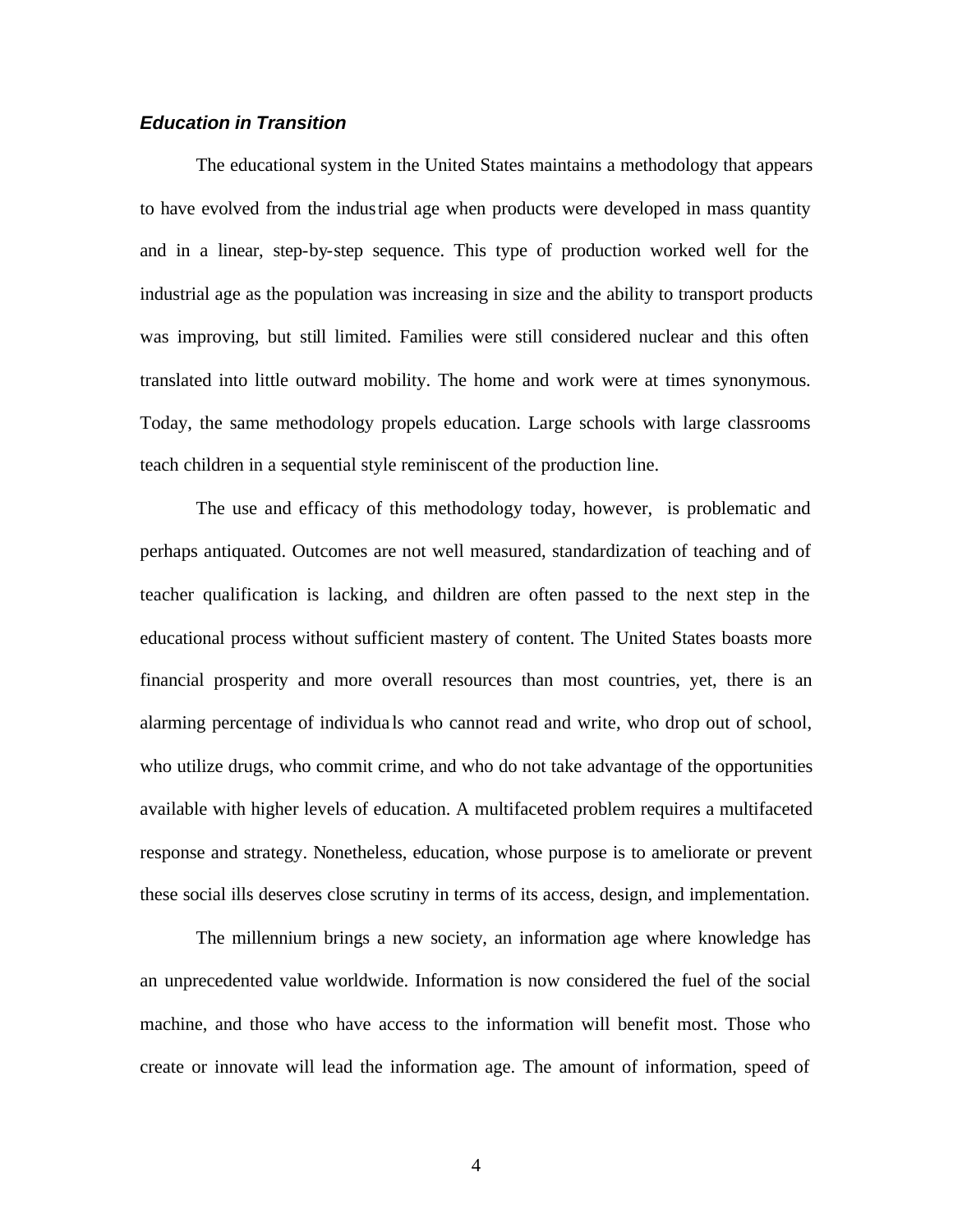## *Education in Transition*

The educational system in the United States maintains a methodology that appears to have evolved from the industrial age when products were developed in mass quantity and in a linear, step-by-step sequence. This type of production worked well for the industrial age as the population was increasing in size and the ability to transport products was improving, but still limited. Families were still considered nuclear and this often translated into little outward mobility. The home and work were at times synonymous. Today, the same methodology propels education. Large schools with large classrooms teach children in a sequential style reminiscent of the production line.

The use and efficacy of this methodology today, however, is problematic and perhaps antiquated. Outcomes are not well measured, standardization of teaching and of teacher qualification is lacking, and children are often passed to the next step in the educational process without sufficient mastery of content. The United States boasts more financial prosperity and more overall resources than most countries, yet, there is an alarming percentage of individua ls who cannot read and write, who drop out of school, who utilize drugs, who commit crime, and who do not take advantage of the opportunities available with higher levels of education. A multifaceted problem requires a multifaceted response and strategy. Nonetheless, education, whose purpose is to ameliorate or prevent these social ills deserves close scrutiny in terms of its access, design, and implementation.

The millennium brings a new society, an information age where knowledge has an unprecedented value worldwide. Information is now considered the fuel of the social machine, and those who have access to the information will benefit most. Those who create or innovate will lead the information age. The amount of information, speed of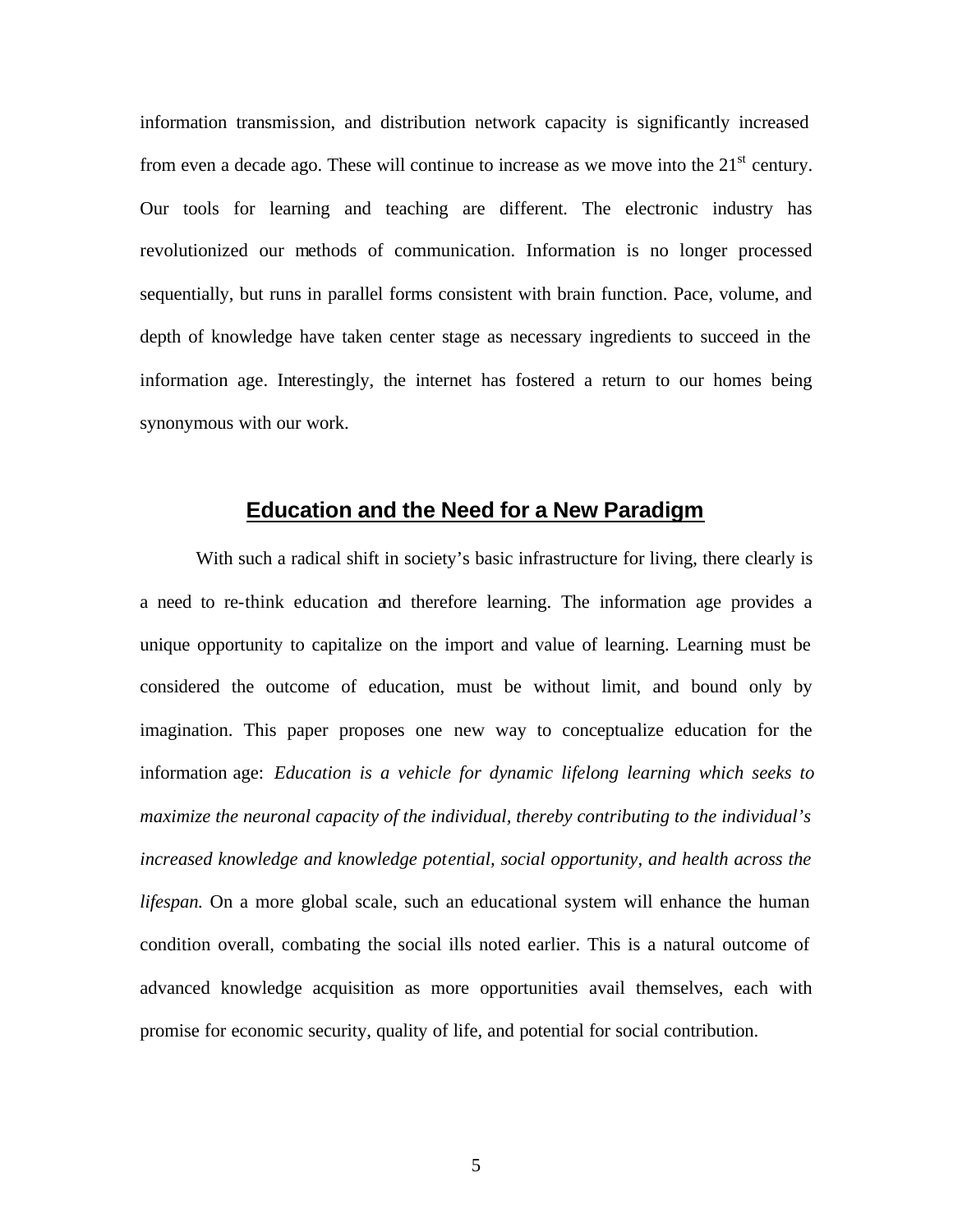information transmission, and distribution network capacity is significantly increased from even a decade ago. These will continue to increase as we move into the  $21<sup>st</sup>$  century. Our tools for learning and teaching are different. The electronic industry has revolutionized our methods of communication. Information is no longer processed sequentially, but runs in parallel forms consistent with brain function. Pace, volume, and depth of knowledge have taken center stage as necessary ingredients to succeed in the information age. Interestingly, the internet has fostered a return to our homes being synonymous with our work.

## **Education and the Need for a New Paradigm**

With such a radical shift in society's basic infrastructure for living, there clearly is a need to re-think education and therefore learning. The information age provides a unique opportunity to capitalize on the import and value of learning. Learning must be considered the outcome of education, must be without limit, and bound only by imagination. This paper proposes one new way to conceptualize education for the information age: *Education is a vehicle for dynamic lifelong learning which seeks to maximize the neuronal capacity of the individual, thereby contributing to the individual's increased knowledge and knowledge potential, social opportunity, and health across the lifespan.* On a more global scale, such an educational system will enhance the human condition overall, combating the social ills noted earlier. This is a natural outcome of advanced knowledge acquisition as more opportunities avail themselves, each with promise for economic security, quality of life, and potential for social contribution.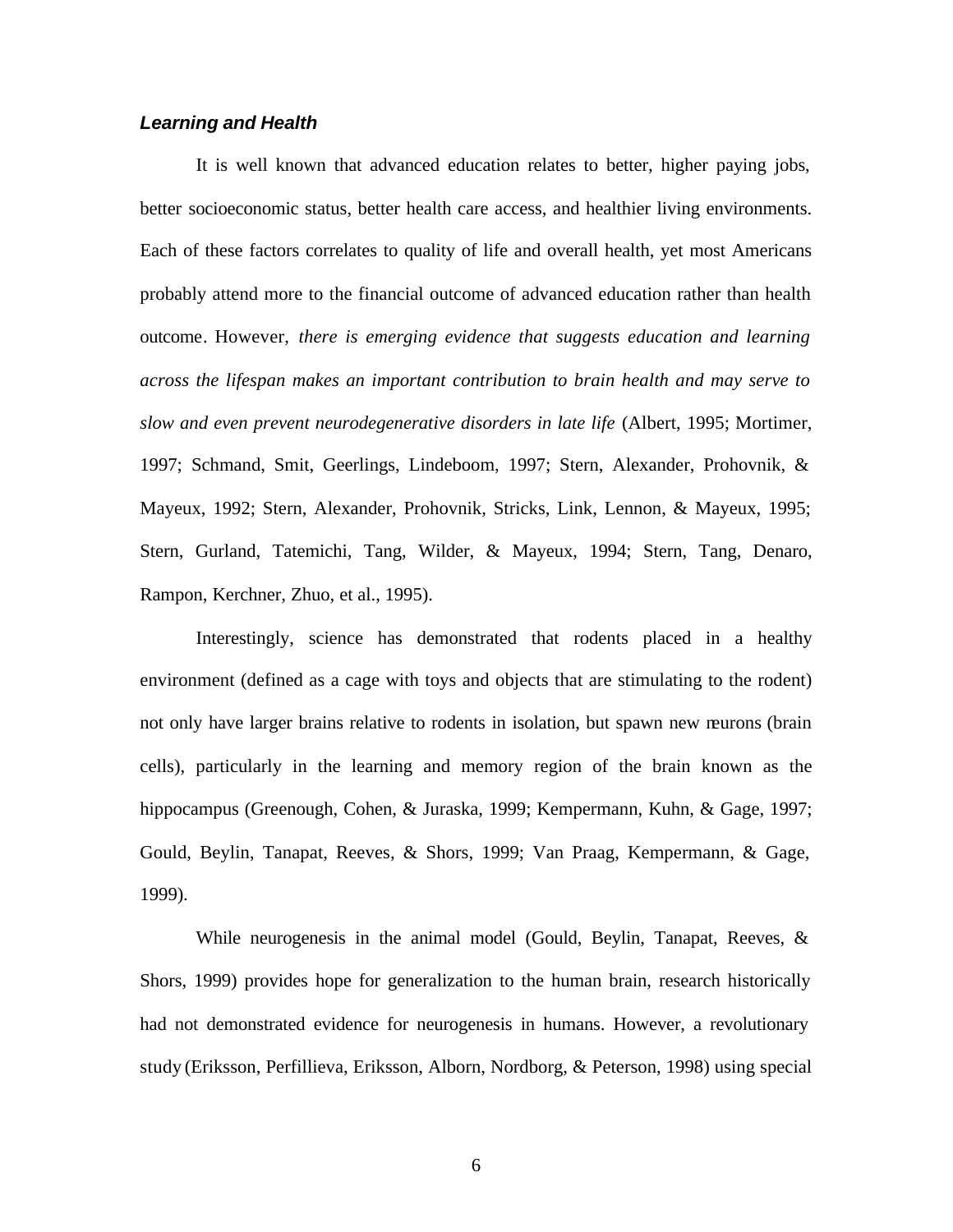#### *Learning and Health*

It is well known that advanced education relates to better, higher paying jobs, better socioeconomic status, better health care access, and healthier living environments. Each of these factors correlates to quality of life and overall health, yet most Americans probably attend more to the financial outcome of advanced education rather than health outcome. However, *there is emerging evidence that suggests education and learning across the lifespan makes an important contribution to brain health and may serve to slow and even prevent neurodegenerative disorders in late life* (Albert, 1995; Mortimer, 1997; Schmand, Smit, Geerlings, Lindeboom, 1997; Stern, Alexander, Prohovnik, & Mayeux, 1992; Stern, Alexander, Prohovnik, Stricks, Link, Lennon, & Mayeux, 1995; Stern, Gurland, Tatemichi, Tang, Wilder, & Mayeux, 1994; Stern, Tang, Denaro, Rampon, Kerchner, Zhuo, et al., 1995).

Interestingly, science has demonstrated that rodents placed in a healthy environment (defined as a cage with toys and objects that are stimulating to the rodent) not only have larger brains relative to rodents in isolation, but spawn new neurons (brain cells), particularly in the learning and memory region of the brain known as the hippocampus (Greenough, Cohen, & Juraska, 1999; Kempermann, Kuhn, & Gage, 1997; Gould, Beylin, Tanapat, Reeves, & Shors, 1999; Van Praag, Kempermann, & Gage, 1999).

While neurogenesis in the animal model (Gould, Beylin, Tanapat, Reeves, & Shors, 1999) provides hope for generalization to the human brain, research historically had not demonstrated evidence for neurogenesis in humans. However, a revolutionary study (Eriksson, Perfillieva, Eriksson, Alborn, Nordborg, & Peterson, 1998) using special

6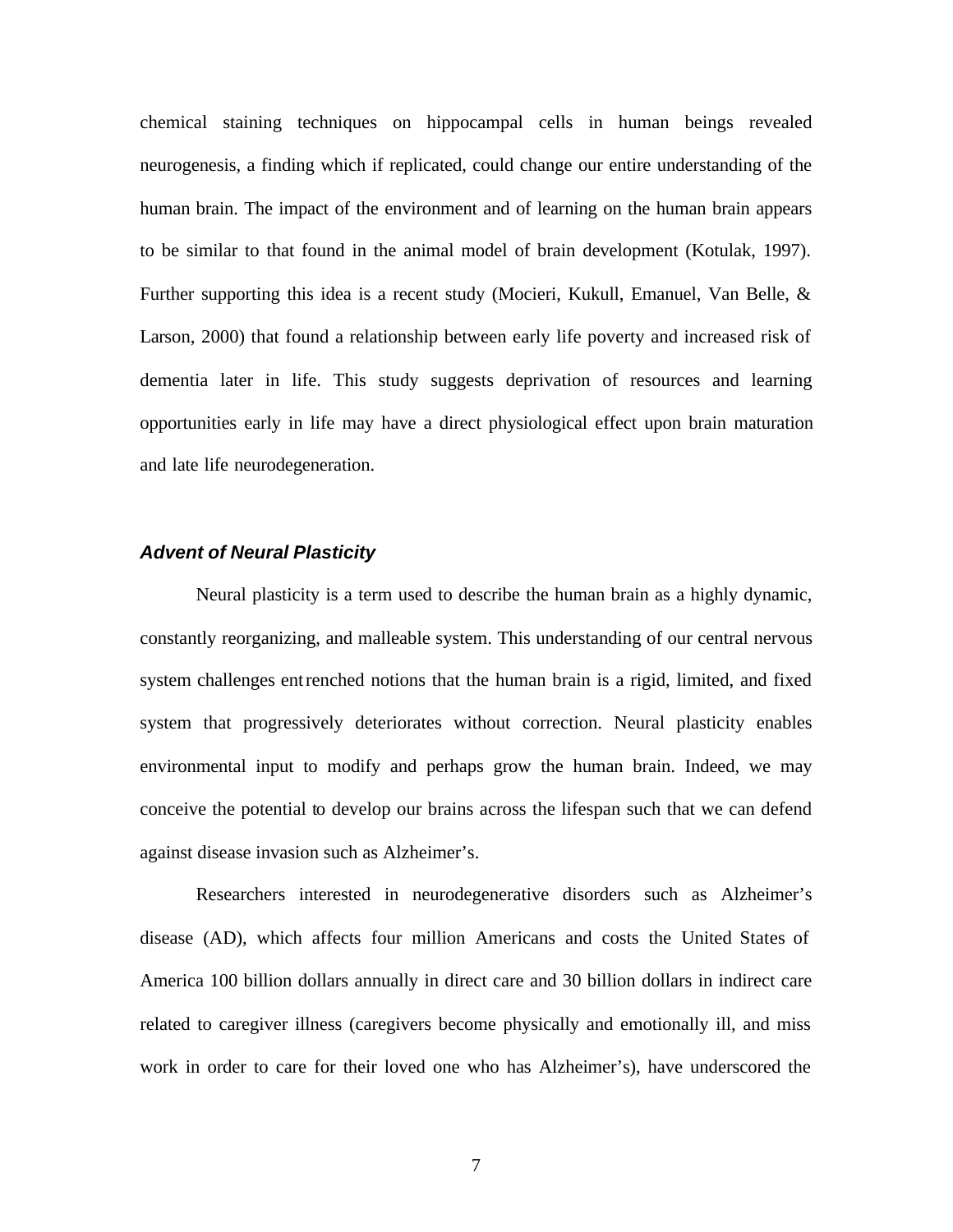chemical staining techniques on hippocampal cells in human beings revealed neurogenesis, a finding which if replicated, could change our entire understanding of the human brain. The impact of the environment and of learning on the human brain appears to be similar to that found in the animal model of brain development (Kotulak, 1997). Further supporting this idea is a recent study (Mocieri, Kukull, Emanuel, Van Belle, & Larson, 2000) that found a relationship between early life poverty and increased risk of dementia later in life. This study suggests deprivation of resources and learning opportunities early in life may have a direct physiological effect upon brain maturation and late life neurodegeneration.

### *Advent of Neural Plasticity*

Neural plasticity is a term used to describe the human brain as a highly dynamic, constantly reorganizing, and malleable system. This understanding of our central nervous system challenges entrenched notions that the human brain is a rigid, limited, and fixed system that progressively deteriorates without correction. Neural plasticity enables environmental input to modify and perhaps grow the human brain. Indeed, we may conceive the potential to develop our brains across the lifespan such that we can defend against disease invasion such as Alzheimer's.

Researchers interested in neurodegenerative disorders such as Alzheimer's disease (AD), which affects four million Americans and costs the United States of America 100 billion dollars annually in direct care and 30 billion dollars in indirect care related to caregiver illness (caregivers become physically and emotionally ill, and miss work in order to care for their loved one who has Alzheimer's), have underscored the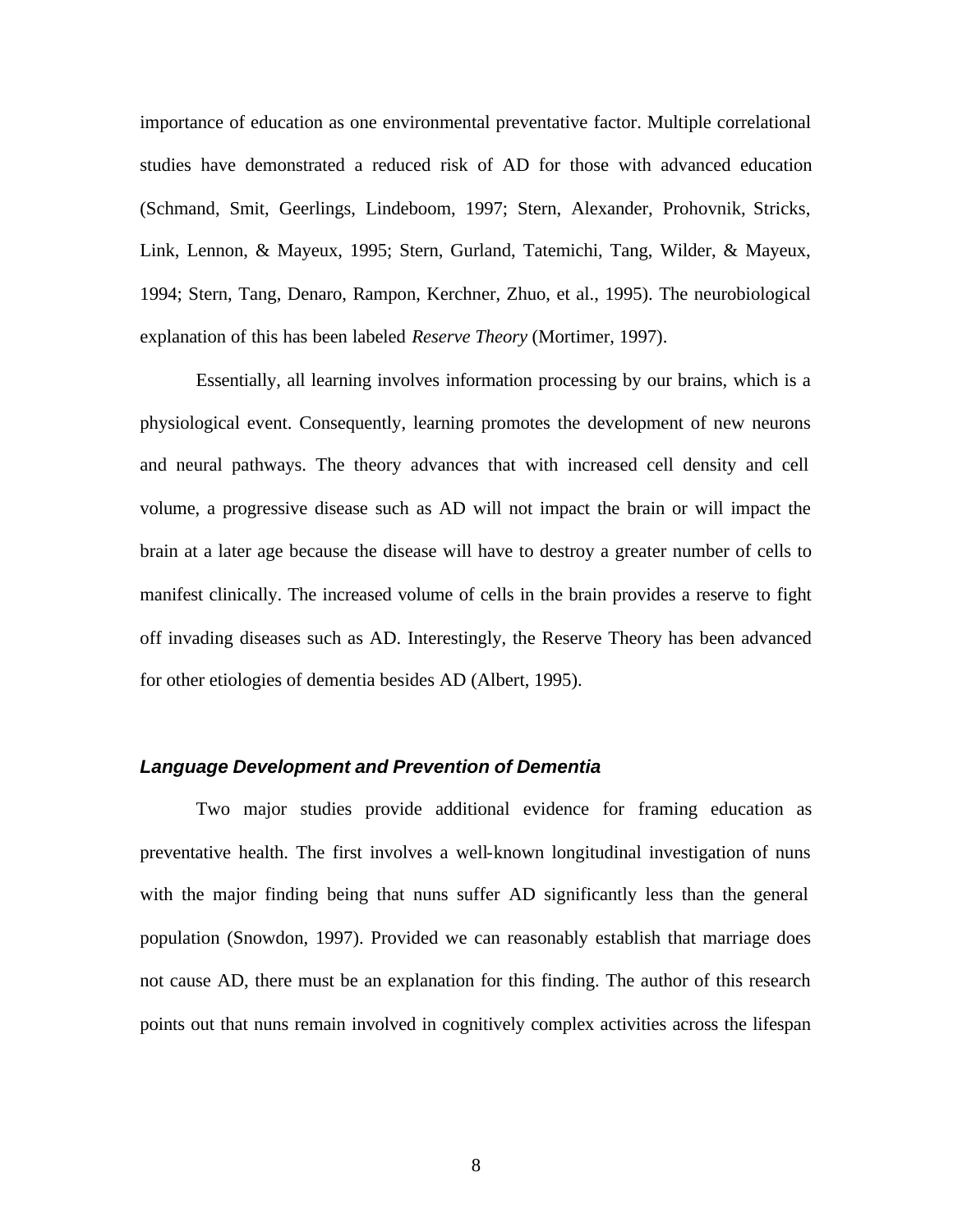importance of education as one environmental preventative factor. Multiple correlational studies have demonstrated a reduced risk of AD for those with advanced education (Schmand, Smit, Geerlings, Lindeboom, 1997; Stern, Alexander, Prohovnik, Stricks, Link, Lennon, & Mayeux, 1995; Stern, Gurland, Tatemichi, Tang, Wilder, & Mayeux, 1994; Stern, Tang, Denaro, Rampon, Kerchner, Zhuo, et al., 1995). The neurobiological explanation of this has been labeled *Reserve Theory* (Mortimer, 1997).

Essentially, all learning involves information processing by our brains, which is a physiological event. Consequently, learning promotes the development of new neurons and neural pathways. The theory advances that with increased cell density and cell volume, a progressive disease such as AD will not impact the brain or will impact the brain at a later age because the disease will have to destroy a greater number of cells to manifest clinically. The increased volume of cells in the brain provides a reserve to fight off invading diseases such as AD. Interestingly, the Reserve Theory has been advanced for other etiologies of dementia besides AD (Albert, 1995).

#### *Language Development and Prevention of Dementia*

Two major studies provide additional evidence for framing education as preventative health. The first involves a well-known longitudinal investigation of nuns with the major finding being that nuns suffer AD significantly less than the general population (Snowdon, 1997). Provided we can reasonably establish that marriage does not cause AD, there must be an explanation for this finding. The author of this research points out that nuns remain involved in cognitively complex activities across the lifespan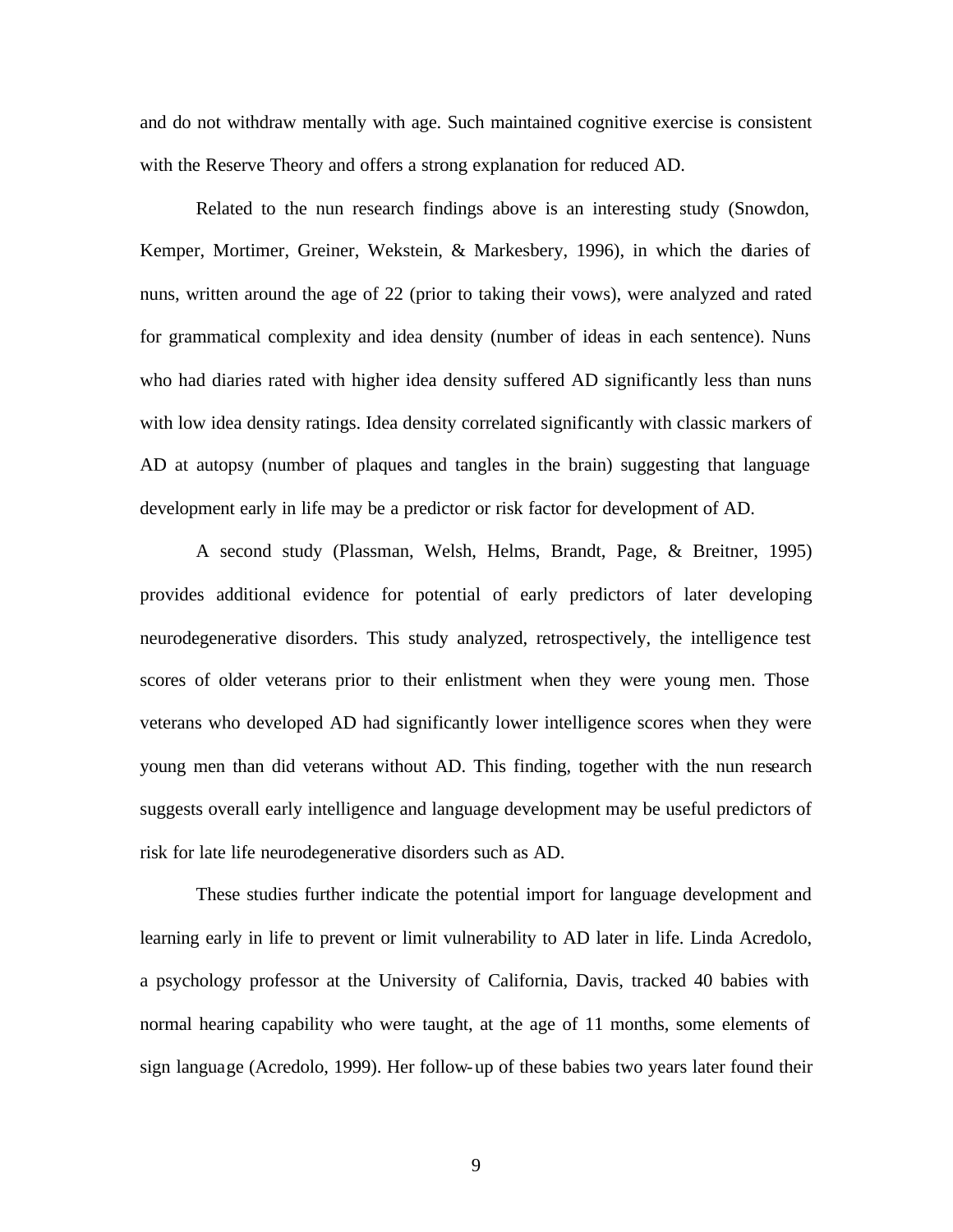and do not withdraw mentally with age. Such maintained cognitive exercise is consistent with the Reserve Theory and offers a strong explanation for reduced AD.

Related to the nun research findings above is an interesting study (Snowdon, Kemper, Mortimer, Greiner, Wekstein, & Markesbery, 1996), in which the diaries of nuns, written around the age of 22 (prior to taking their vows), were analyzed and rated for grammatical complexity and idea density (number of ideas in each sentence). Nuns who had diaries rated with higher idea density suffered AD significantly less than nuns with low idea density ratings. Idea density correlated significantly with classic markers of AD at autopsy (number of plaques and tangles in the brain) suggesting that language development early in life may be a predictor or risk factor for development of AD.

A second study (Plassman, Welsh, Helms, Brandt, Page, & Breitner, 1995) provides additional evidence for potential of early predictors of later developing neurodegenerative disorders. This study analyzed, retrospectively, the intelligence test scores of older veterans prior to their enlistment when they were young men. Those veterans who developed AD had significantly lower intelligence scores when they were young men than did veterans without AD. This finding, together with the nun research suggests overall early intelligence and language development may be useful predictors of risk for late life neurodegenerative disorders such as AD.

These studies further indicate the potential import for language development and learning early in life to prevent or limit vulnerability to AD later in life. Linda Acredolo, a psychology professor at the University of California, Davis, tracked 40 babies with normal hearing capability who were taught, at the age of 11 months, some elements of sign language (Acredolo, 1999). Her follow-up of these babies two years later found their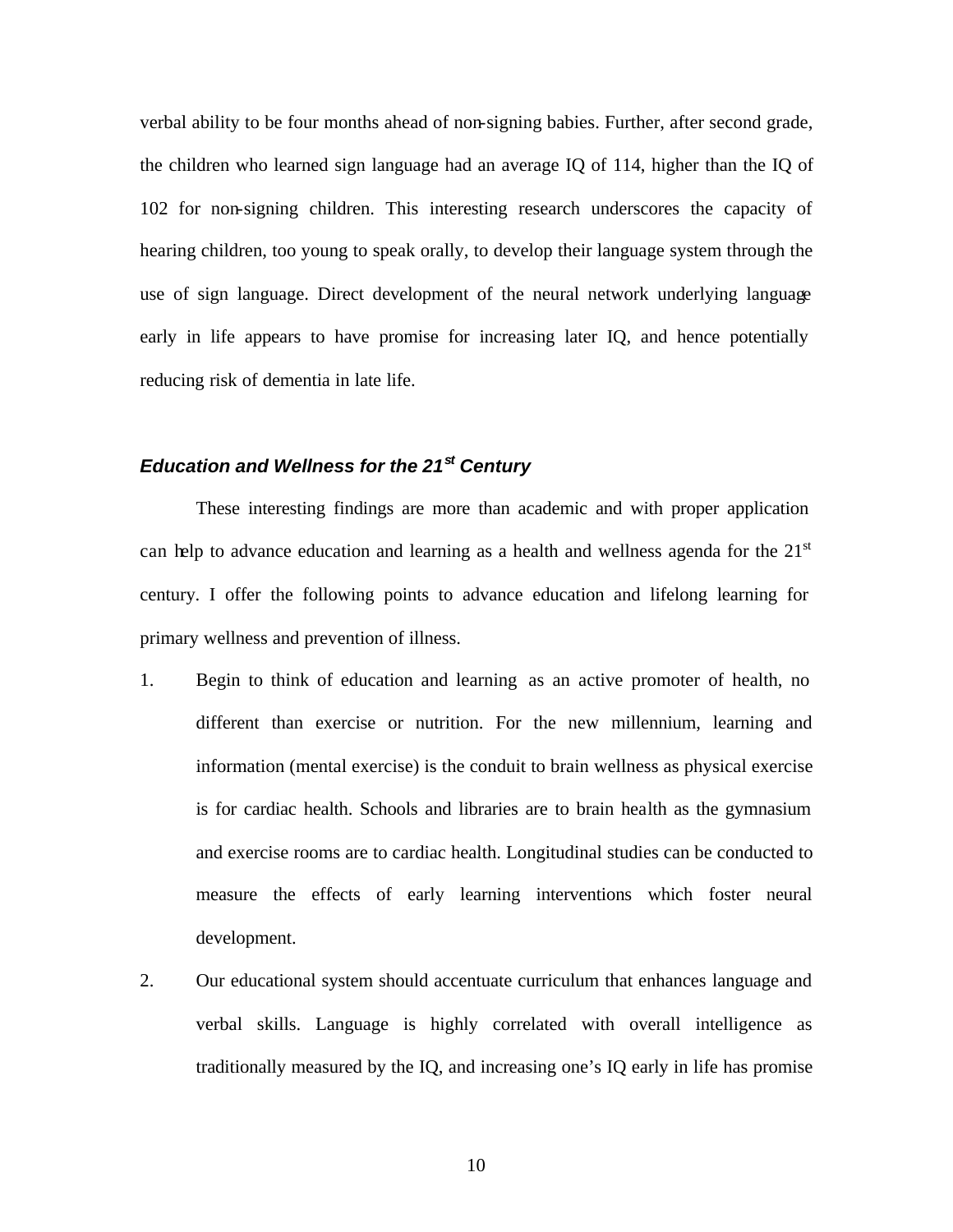verbal ability to be four months ahead of non-signing babies. Further, after second grade, the children who learned sign language had an average IQ of 114, higher than the IQ of 102 for non-signing children. This interesting research underscores the capacity of hearing children, too young to speak orally, to develop their language system through the use of sign language. Direct development of the neural network underlying language early in life appears to have promise for increasing later IQ, and hence potentially reducing risk of dementia in late life.

## *Education and Wellness for the 21st Century*

These interesting findings are more than academic and with proper application can help to advance education and learning as a health and wellness agenda for the  $21<sup>st</sup>$ century. I offer the following points to advance education and lifelong learning for primary wellness and prevention of illness.

- 1. Begin to think of education and learning as an active promoter of health, no different than exercise or nutrition. For the new millennium, learning and information (mental exercise) is the conduit to brain wellness as physical exercise is for cardiac health. Schools and libraries are to brain health as the gymnasium and exercise rooms are to cardiac health. Longitudinal studies can be conducted to measure the effects of early learning interventions which foster neural development.
- 2. Our educational system should accentuate curriculum that enhances language and verbal skills. Language is highly correlated with overall intelligence as traditionally measured by the IQ, and increasing one's IQ early in life has promise

10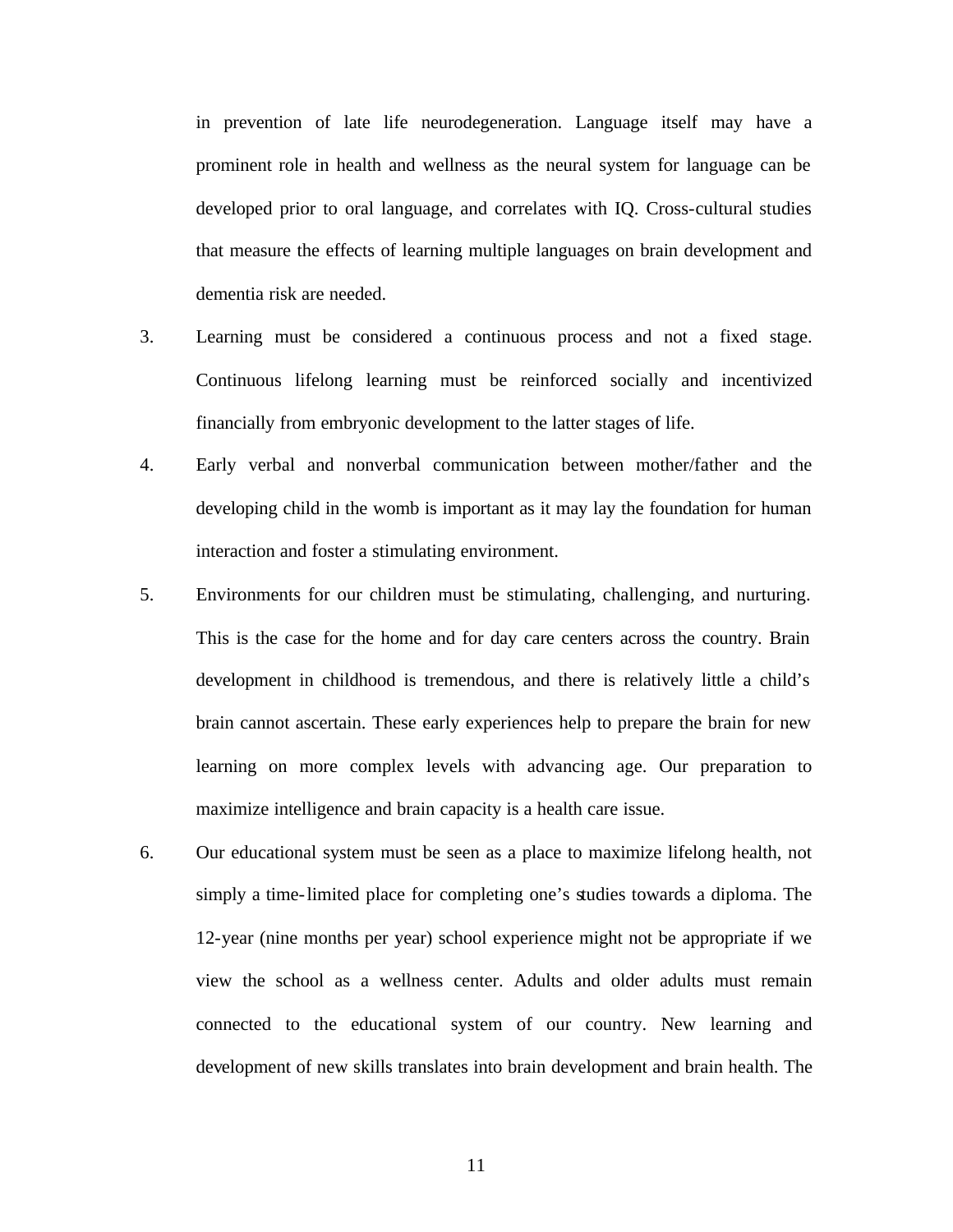in prevention of late life neurodegeneration. Language itself may have a prominent role in health and wellness as the neural system for language can be developed prior to oral language, and correlates with IQ. Cross-cultural studies that measure the effects of learning multiple languages on brain development and dementia risk are needed.

- 3. Learning must be considered a continuous process and not a fixed stage. Continuous lifelong learning must be reinforced socially and incentivized financially from embryonic development to the latter stages of life.
- 4. Early verbal and nonverbal communication between mother/father and the developing child in the womb is important as it may lay the foundation for human interaction and foster a stimulating environment.
- 5. Environments for our children must be stimulating, challenging, and nurturing. This is the case for the home and for day care centers across the country. Brain development in childhood is tremendous, and there is relatively little a child's brain cannot ascertain. These early experiences help to prepare the brain for new learning on more complex levels with advancing age. Our preparation to maximize intelligence and brain capacity is a health care issue.
- 6. Our educational system must be seen as a place to maximize lifelong health, not simply a time-limited place for completing one's studies towards a diploma. The 12-year (nine months per year) school experience might not be appropriate if we view the school as a wellness center. Adults and older adults must remain connected to the educational system of our country. New learning and development of new skills translates into brain development and brain health. The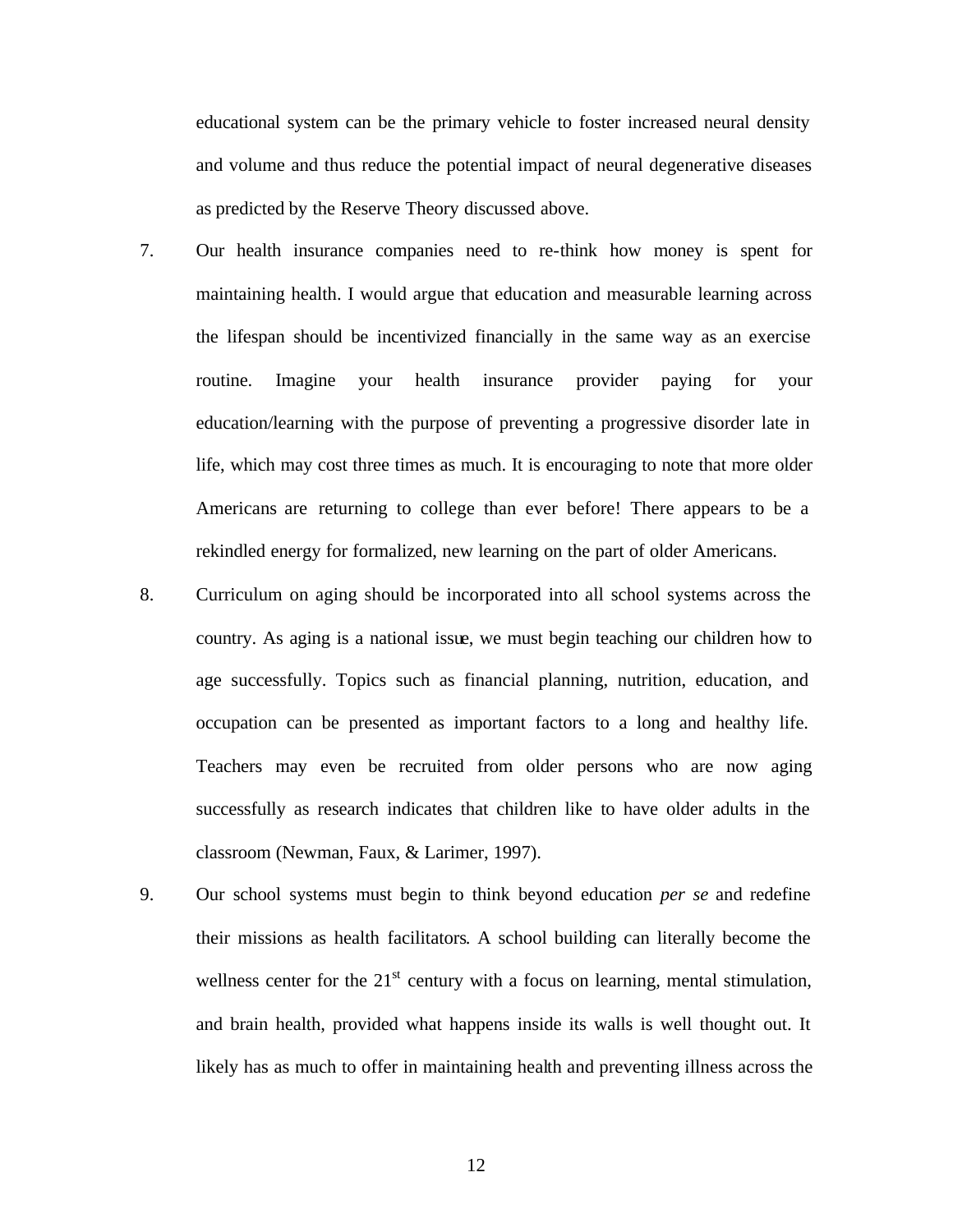educational system can be the primary vehicle to foster increased neural density and volume and thus reduce the potential impact of neural degenerative diseases as predicted by the Reserve Theory discussed above.

- 7. Our health insurance companies need to re-think how money is spent for maintaining health. I would argue that education and measurable learning across the lifespan should be incentivized financially in the same way as an exercise routine. Imagine your health insurance provider paying for your education/learning with the purpose of preventing a progressive disorder late in life, which may cost three times as much. It is encouraging to note that more older Americans are returning to college than ever before! There appears to be a rekindled energy for formalized, new learning on the part of older Americans.
- 8. Curriculum on aging should be incorporated into all school systems across the country. As aging is a national issue, we must begin teaching our children how to age successfully. Topics such as financial planning, nutrition, education, and occupation can be presented as important factors to a long and healthy life. Teachers may even be recruited from older persons who are now aging successfully as research indicates that children like to have older adults in the classroom (Newman, Faux, & Larimer, 1997).
- 9. Our school systems must begin to think beyond education *per se* and redefine their missions as health facilitators. A school building can literally become the wellness center for the  $21<sup>st</sup>$  century with a focus on learning, mental stimulation, and brain health, provided what happens inside its walls is well thought out. It likely has as much to offer in maintaining health and preventing illness across the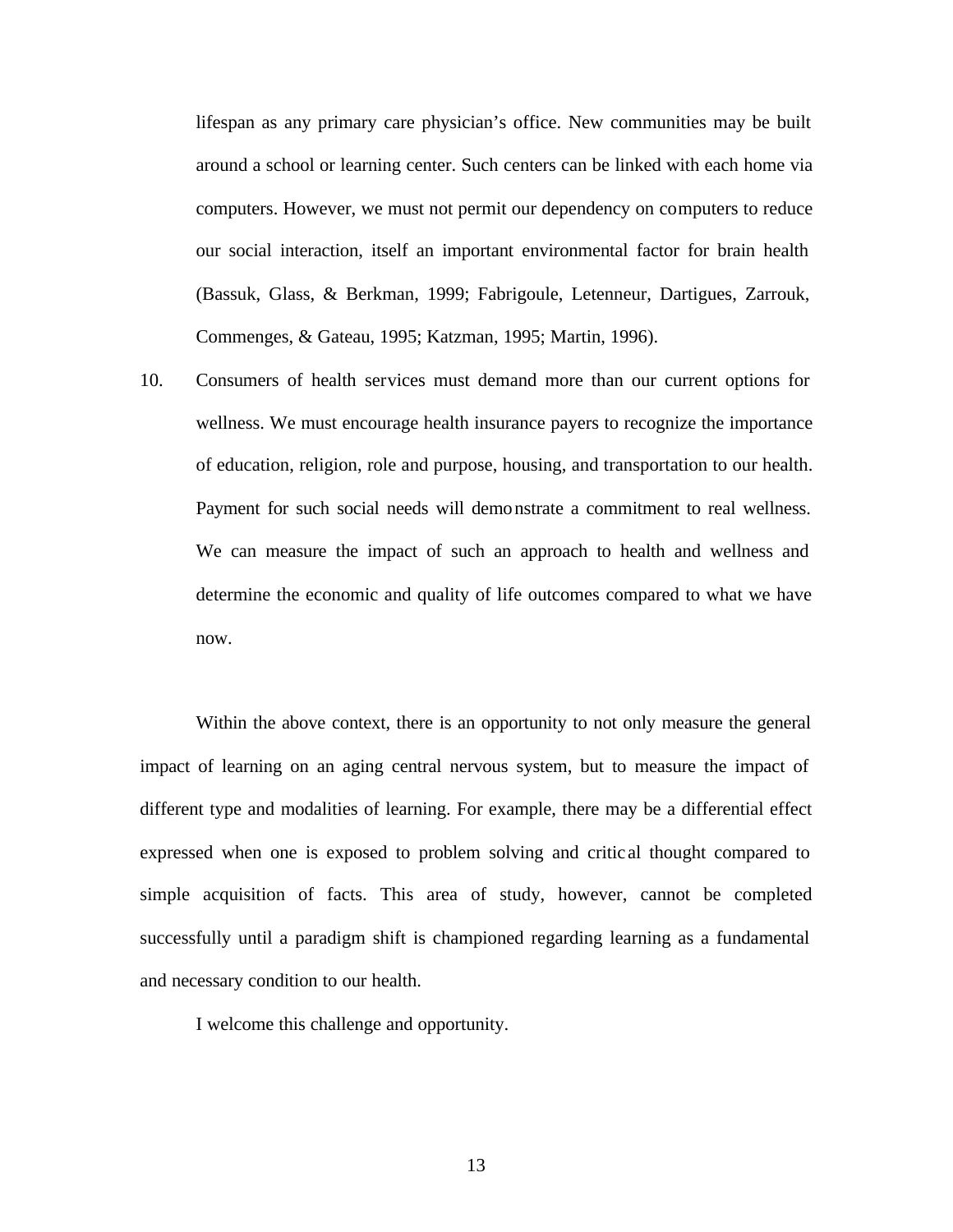lifespan as any primary care physician's office. New communities may be built around a school or learning center. Such centers can be linked with each home via computers. However, we must not permit our dependency on computers to reduce our social interaction, itself an important environmental factor for brain health (Bassuk, Glass, & Berkman, 1999; Fabrigoule, Letenneur, Dartigues, Zarrouk, Commenges, & Gateau, 1995; Katzman, 1995; Martin, 1996).

10. Consumers of health services must demand more than our current options for wellness. We must encourage health insurance payers to recognize the importance of education, religion, role and purpose, housing, and transportation to our health. Payment for such social needs will demonstrate a commitment to real wellness. We can measure the impact of such an approach to health and wellness and determine the economic and quality of life outcomes compared to what we have now.

Within the above context, there is an opportunity to not only measure the general impact of learning on an aging central nervous system, but to measure the impact of different type and modalities of learning. For example, there may be a differential effect expressed when one is exposed to problem solving and critic al thought compared to simple acquisition of facts. This area of study, however, cannot be completed successfully until a paradigm shift is championed regarding learning as a fundamental and necessary condition to our health.

I welcome this challenge and opportunity.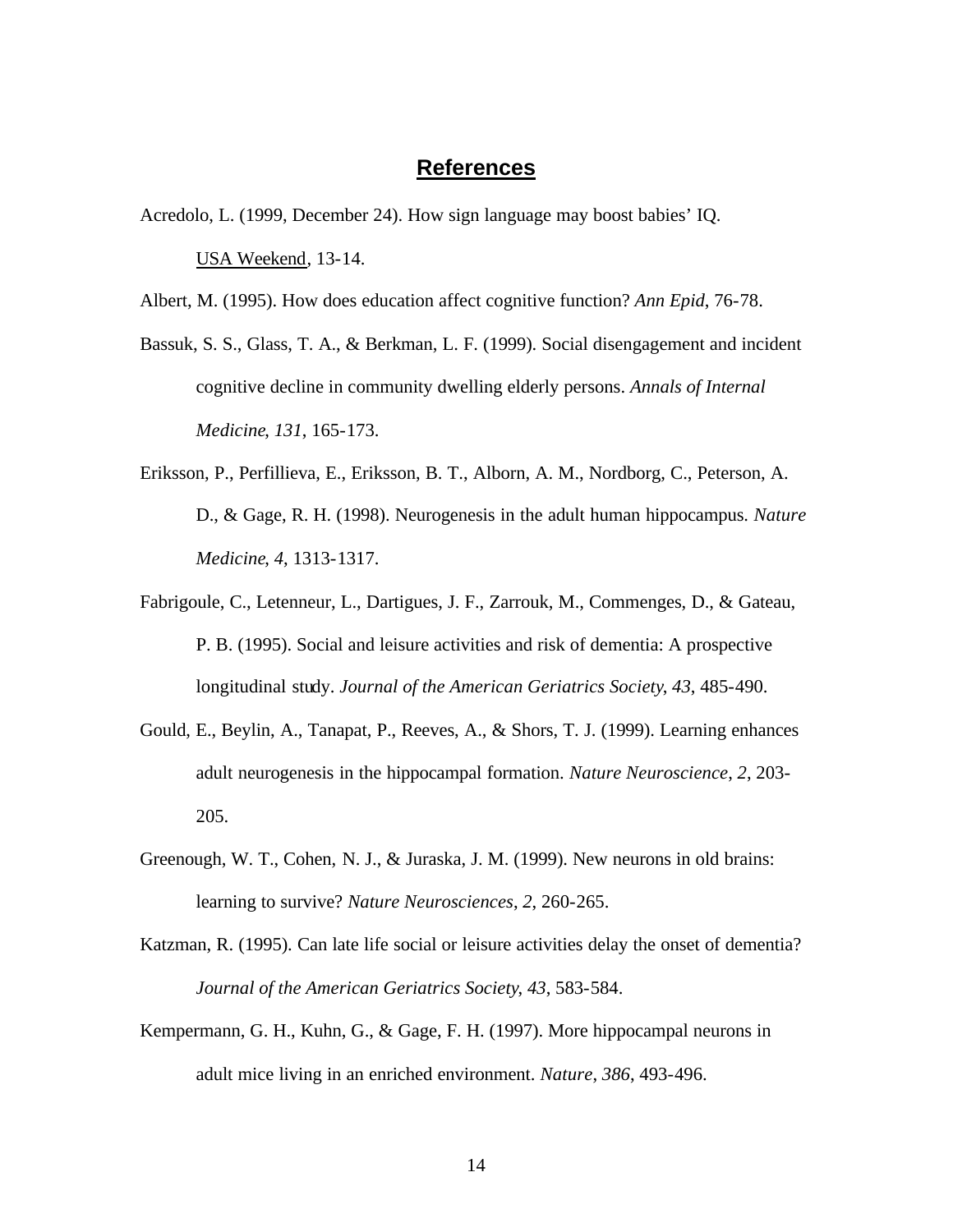## **References**

Acredolo, L. (1999, December 24). How sign language may boost babies' IQ. USA Weekend, 13-14.

Albert, M. (1995). How does education affect cognitive function? *Ann Epid*, 76-78.

- Bassuk, S. S., Glass, T. A., & Berkman, L. F. (1999). Social disengagement and incident cognitive decline in community dwelling elderly persons. *Annals of Internal Medicine*, *131*, 165-173.
- Eriksson, P., Perfillieva, E., Eriksson, B. T., Alborn, A. M., Nordborg, C., Peterson, A. D., & Gage, R. H. (1998). Neurogenesis in the adult human hippocampus. *Nature Medicine*, *4*, 1313-1317.
- Fabrigoule, C., Letenneur, L., Dartigues, J. F., Zarrouk, M., Commenges, D., & Gateau, P. B. (1995). Social and leisure activities and risk of dementia: A prospective longitudinal study. *Journal of the American Geriatrics Society*, *43*, 485-490.
- Gould, E., Beylin, A., Tanapat, P., Reeves, A., & Shors, T. J. (1999). Learning enhances adult neurogenesis in the hippocampal formation. *Nature Neuroscience*, *2*, 203- 205.
- Greenough, W. T., Cohen, N. J., & Juraska, J. M. (1999). New neurons in old brains: learning to survive? *Nature Neurosciences*, *2*, 260-265.
- Katzman, R. (1995). Can late life social or leisure activities delay the onset of dementia? *Journal of the American Geriatrics Society*, *43*, 583-584.
- Kempermann, G. H., Kuhn, G., & Gage, F. H. (1997). More hippocampal neurons in adult mice living in an enriched environment. *Nature*, *386*, 493-496.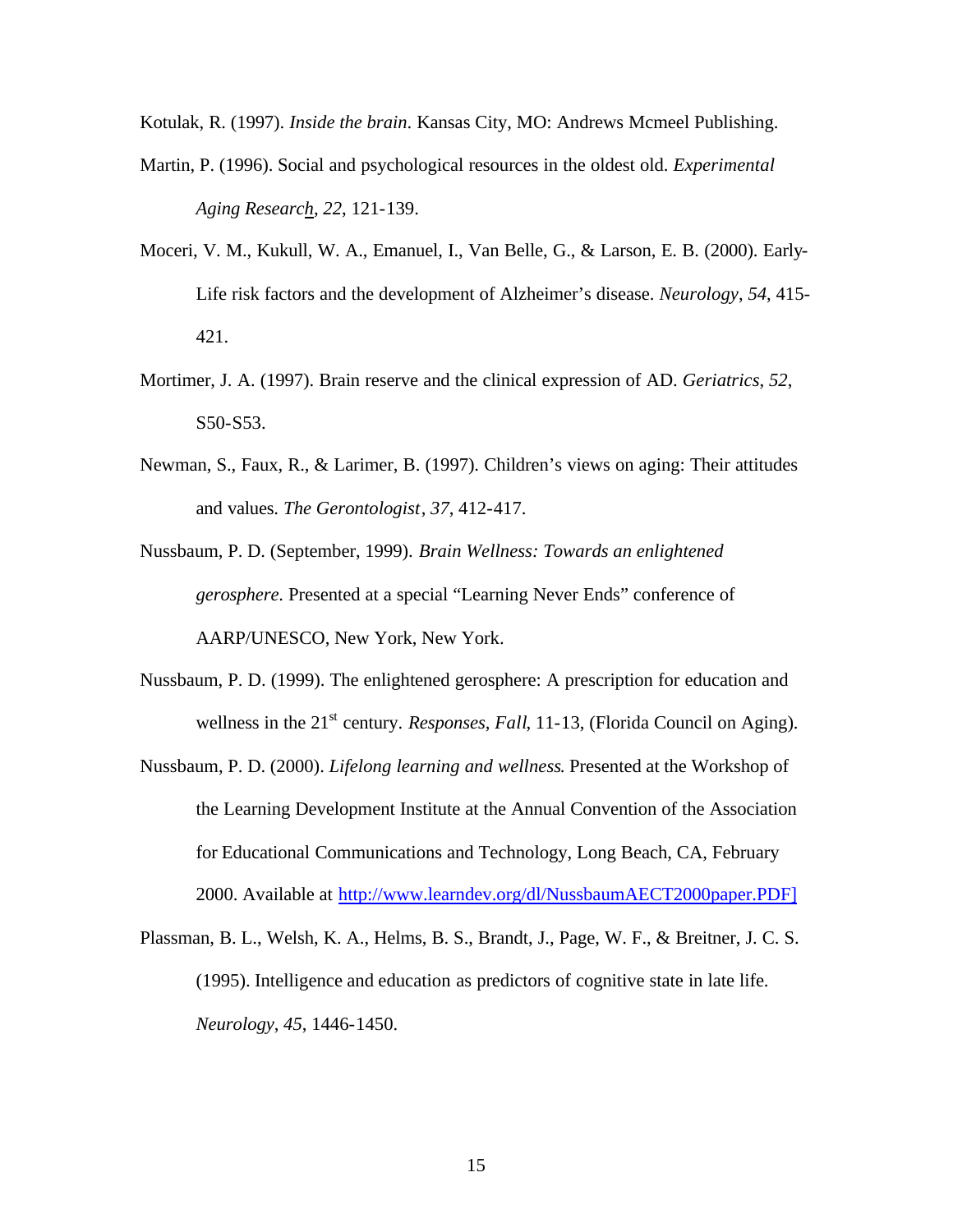Kotulak, R. (1997). *Inside the brain*. Kansas City, MO: Andrews Mcmeel Publishing.

- Martin, P. (1996). Social and psychological resources in the oldest old. *Experimental Aging Research*, *22*, 121-139.
- Moceri, V. M., Kukull, W. A., Emanuel, I., Van Belle, G., & Larson, E. B. (2000). Early-Life risk factors and the development of Alzheimer's disease. *Neurology*, *54*, 415- 421.
- Mortimer, J. A. (1997). Brain reserve and the clinical expression of AD. *Geriatrics*, *52*, S50-S53.
- Newman, S., Faux, R., & Larimer, B. (1997). Children's views on aging: Their attitudes and values. *The Gerontologist*, *37*, 412-417.
- Nussbaum, P. D. (September, 1999). *Brain Wellness: Towards an enlightened gerosphere*. Presented at a special "Learning Never Ends" conference of AARP/UNESCO, New York, New York.
- Nussbaum, P. D. (1999). The enlightened gerosphere: A prescription for education and wellness in the 21<sup>st</sup> century. *Responses, Fall*, 11-13, (Florida Council on Aging).
- Nussbaum, P. D. (2000). *Lifelong learning and wellness*. Presented at the Workshop of the Learning Development Institute at the Annual Convention of the Association for Educational Communications and Technology, Long Beach, CA, February 2000. Available at http://www.learndev.org/dl/NussbaumAECT2000paper.PDF]
- Plassman, B. L., Welsh, K. A., Helms, B. S., Brandt, J., Page, W. F., & Breitner, J. C. S. (1995). Intelligence and education as predictors of cognitive state in late life. *Neurology*, *45*, 1446-1450.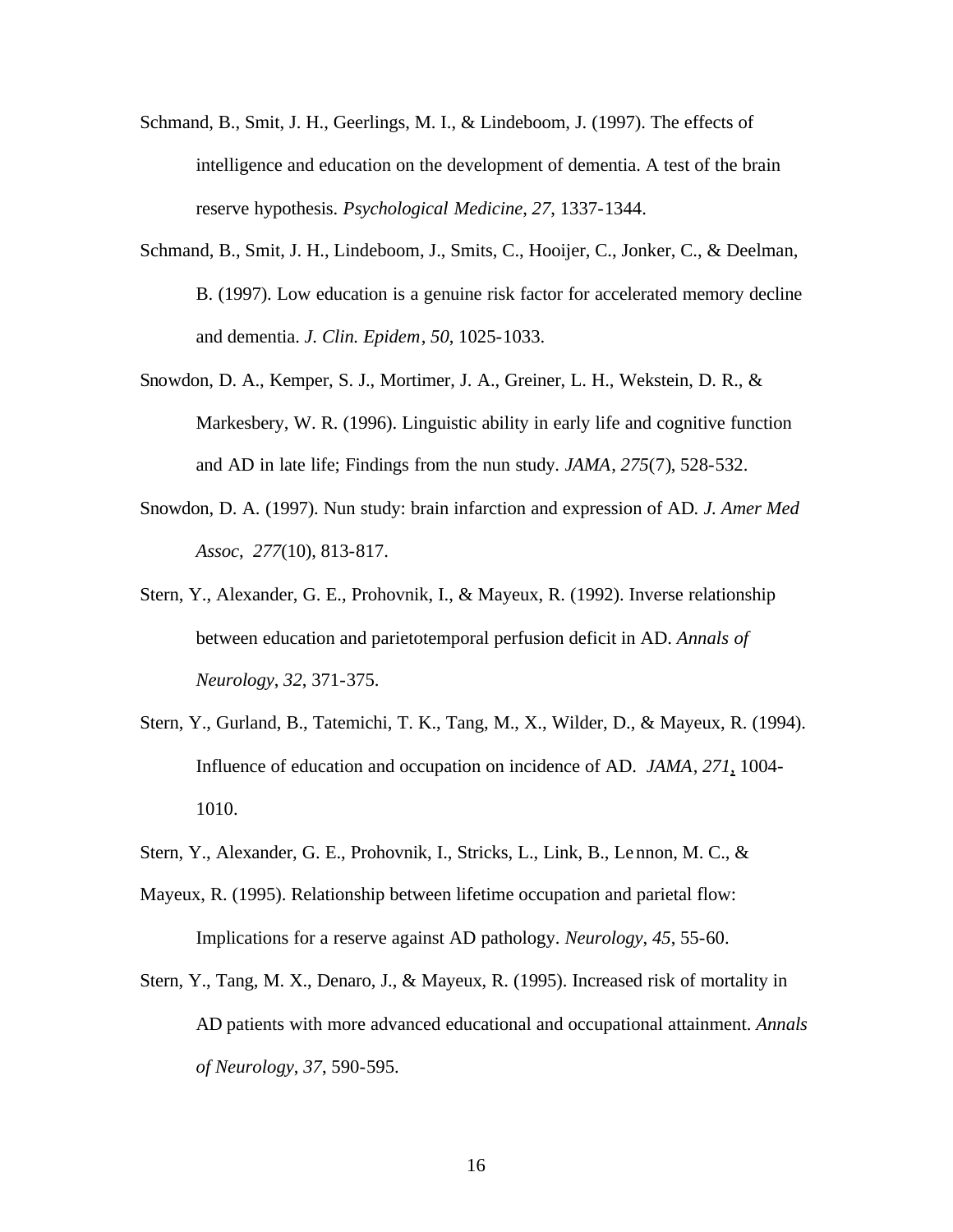- Schmand, B., Smit, J. H., Geerlings, M. I., & Lindeboom, J. (1997). The effects of intelligence and education on the development of dementia. A test of the brain reserve hypothesis. *Psychological Medicine*, *27*, 1337-1344.
- Schmand, B., Smit, J. H., Lindeboom, J., Smits, C., Hooijer, C., Jonker, C., & Deelman, B. (1997). Low education is a genuine risk factor for accelerated memory decline and dementia. *J. Clin. Epidem*, *50*, 1025-1033.
- Snowdon, D. A., Kemper, S. J., Mortimer, J. A., Greiner, L. H., Wekstein, D. R., & Markesbery, W. R. (1996). Linguistic ability in early life and cognitive function and AD in late life; Findings from the nun study. *JAMA*, *275*(7), 528-532.
- Snowdon, D. A. (1997). Nun study: brain infarction and expression of AD*. J. Amer Med Assoc*, *277*(10), 813-817.
- Stern, Y., Alexander, G. E., Prohovnik, I., & Mayeux, R. (1992). Inverse relationship between education and parietotemporal perfusion deficit in AD. *Annals of Neurology*, *32*, 371-375.
- Stern, Y., Gurland, B., Tatemichi, T. K., Tang, M., X., Wilder, D., & Mayeux, R. (1994). Influence of education and occupation on incidence of AD. *JAMA*, *271*, 1004- 1010.
- Stern, Y., Alexander, G. E., Prohovnik, I., Stricks, L., Link, B., Lennon, M. C., &
- Mayeux, R. (1995). Relationship between lifetime occupation and parietal flow: Implications for a reserve against AD pathology. *Neurology*, *45*, 55-60.
- Stern, Y., Tang, M. X., Denaro, J., & Mayeux, R. (1995). Increased risk of mortality in AD patients with more advanced educational and occupational attainment. *Annals of Neurology*, *37*, 590-595.